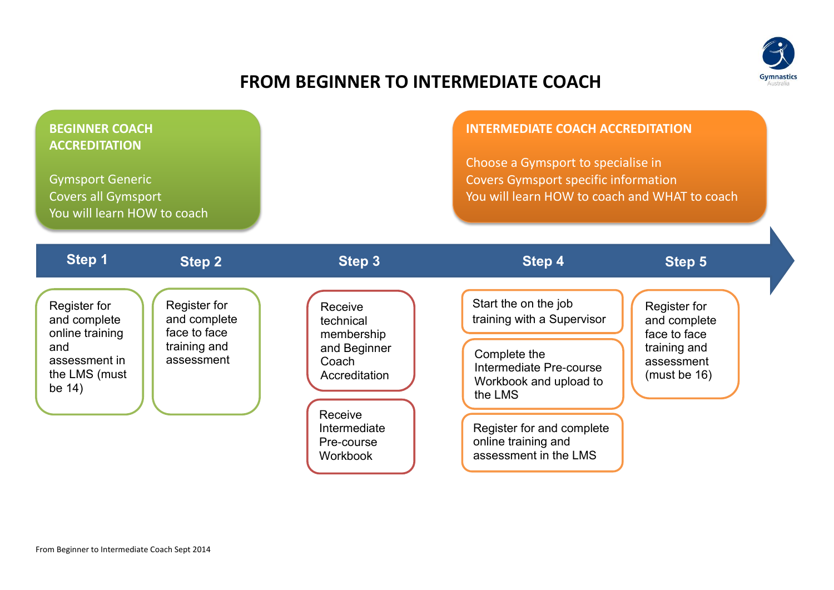

## **FROM BEGINNER TO INTERMEDIATE COACH**